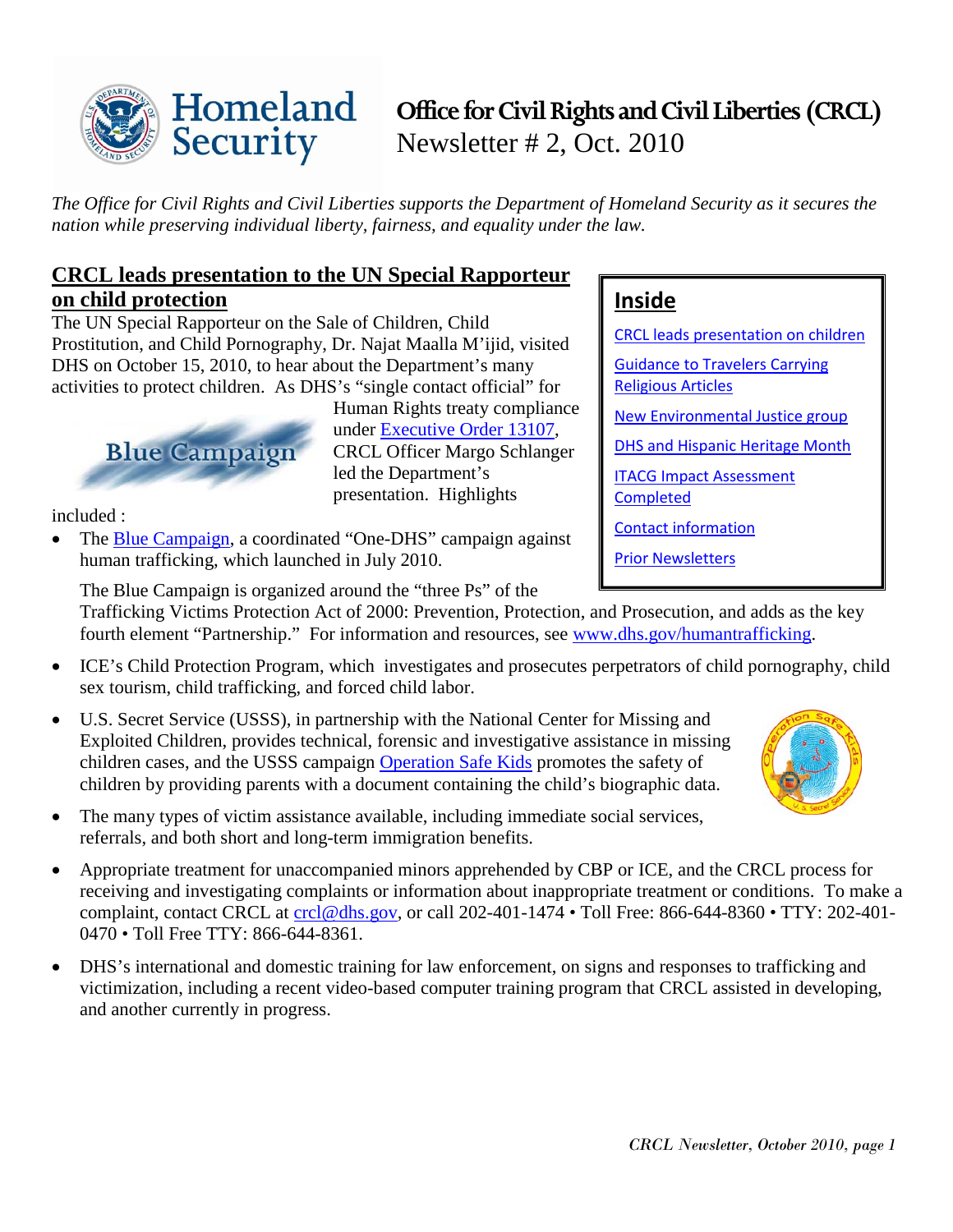#### Homeland **Office for Civil Rights and Civil Liberties (CRCL)** Security Newsletter # 2, Oct. 2010

*The Office for Civil Rights and Civil Liberties supports the Department of Homeland Security as it secures the nation while preserving individual liberty, fairness, and equality under the law.*

**Inside**

[Religious Articles](#page-1-0)

**[Completed](#page-2-1)** 

[CRCL leads presentation on children](#page-0-0)

[Guidance to Travelers Carrying](#page-1-0) 

[New Environmental Justice group](#page-1-1) [DHS and Hispanic Heritage Month](#page-2-0)

[ITACG Impact Assessment](#page-2-1) 

[Contact information](#page-2-2)

[Prior Newsletters](#page-3-0)

## <span id="page-0-0"></span>**CRCL leads presentation to the UN Special Rapporteur on child protection**

The UN Special Rapporteur on the Sale of Children, Child Prostitution, and Child Pornography, Dr. Najat Maalla M'ijid, visited DHS on October 15, 2010, to hear about the Department's many activities to protect children. As DHS's "single contact official" for



Human Rights treaty compliance under [Executive Order 13107,](http://frwebgate.access.gpo.gov/cgi-bin/getdoc.cgi?dbname=1998_register&docid=fr15de98-110.pdf) CRCL Officer Margo Schlanger led the Department's presentation. Highlights

included :

• The [Blue Campaign,](http://www.dhs.gov/files/programs/humantrafficking.shtm) a coordinated "One-DHS" campaign against human trafficking, which launched in July 2010.

The Blue Campaign is organized around the "three Ps" of the

Trafficking Victims Protection Act of 2000: Prevention, Protection, and Prosecution, and adds as the key fourth element "Partnership." For information and resources, see [www.dhs.gov/humantrafficking.](http://www.dhs.gov/humantrafficking)

- ICE's Child Protection Program, which investigates and prosecutes perpetrators of child pornography, child sex tourism, child trafficking, and forced child labor.
- U.S. Secret Service (USSS), in partnership with the National Center for Missing and Exploited Children, provides technical, forensic and investigative assistance in missing children cases, and the USSS campaign [Operation Safe Kids](http://www.secretservice.gov/join/who_community.shtml) promotes the safety of children by providing parents with a document containing the child's biographic data.
- The many types of victim assistance available, including immediate social services, referrals, and both short and long-term immigration benefits.
- Appropriate treatment for unaccompanied minors apprehended by CBP or ICE, and the CRCL process for receiving and investigating complaints or information about inappropriate treatment or conditions. To make a complaint, contact CRCL at [crcl@dhs.gov,](mailto:crcl@dhs.gov) or call 202-401-1474 *•* Toll Free: 866-644-8360 *•* TTY: 202-401- 0470 *•* Toll Free TTY: 866-644-8361.
- DHS's international and domestic training for law enforcement, on signs and responses to trafficking and victimization, including a recent video-based computer training program that CRCL assisted in developing, and another currently in progress.

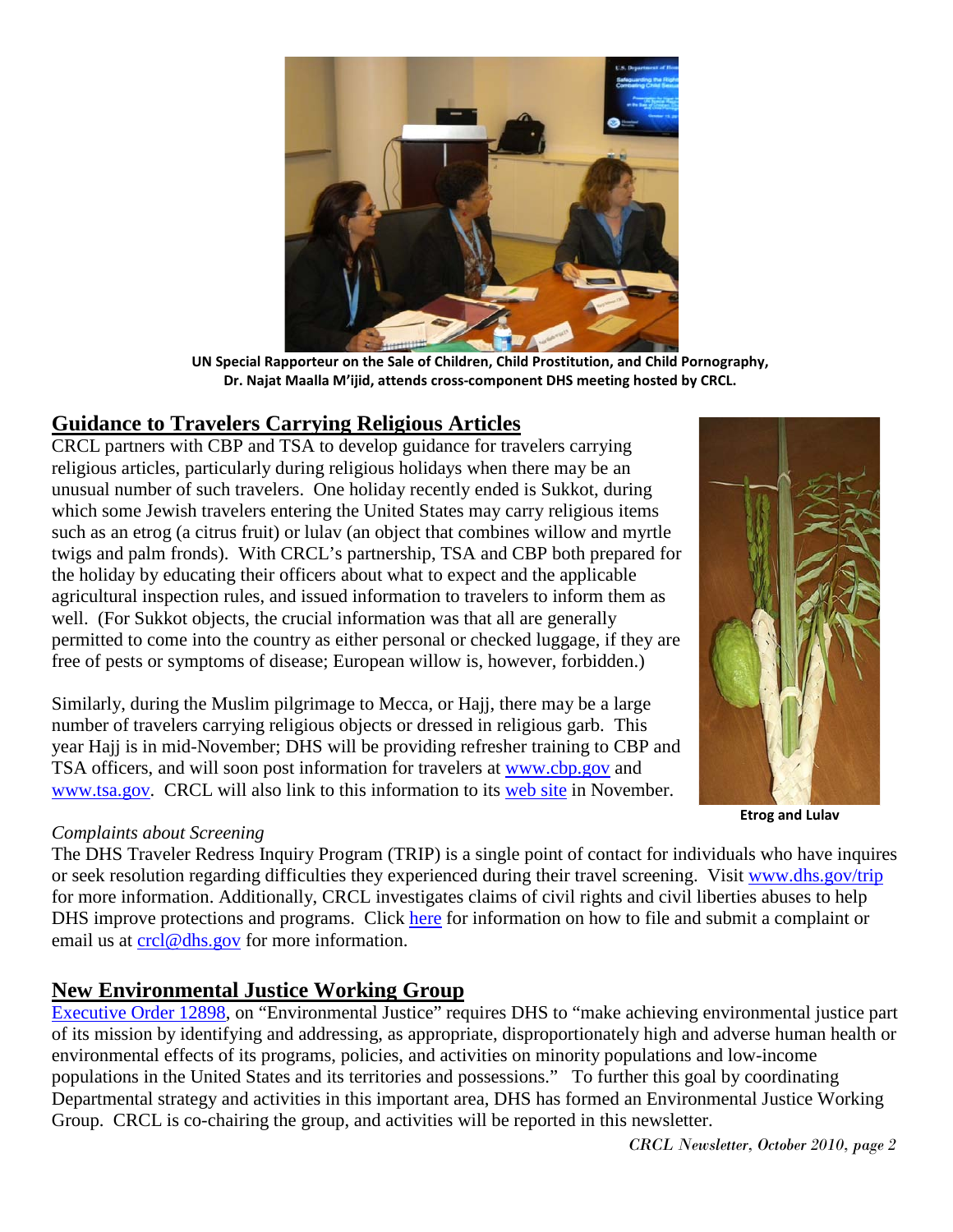

**UN Special Rapporteur on the Sale of Children, Child Prostitution, and Child Pornography, Dr. Najat Maalla M'ijid, attends cross-component DHS meeting hosted by CRCL.** 

#### <span id="page-1-0"></span>**Guidance to Travelers Carrying Religious Articles**

CRCL partners with CBP and TSA to develop guidance for travelers carrying religious articles, particularly during religious holidays when there may be an unusual number of such travelers. One holiday recently ended is Sukkot, during which some Jewish travelers entering the United States may carry religious items such as an etrog (a citrus fruit) or lulav (an object that combines willow and myrtle twigs and palm fronds). With CRCL's partnership, TSA and CBP both prepared for the holiday by educating their officers about what to expect and the applicable agricultural inspection rules, and issued information to travelers to inform them as well. (For Sukkot objects, the crucial information was that all are generally permitted to come into the country as either personal or checked luggage, if they are free of pests or symptoms of disease; European willow is, however, forbidden.)

Similarly, during the Muslim pilgrimage to Mecca, or Hajj, there may be a large number of travelers carrying religious objects or dressed in religious garb. This year Hajj is in mid-November; DHS will be providing refresher training to CBP and TSA officers, and will soon post information for travelers at [www.cbp.gov](http://www.cbp.gov/) and [www.tsa.gov.](http://www.tsa.gov/) CRCL will also link to this information to its [web site](http://www.dhs.gov/xabout/structure/editorial_0371.shtm) in November.

#### *Complaints about Screening*

The DHS Traveler Redress Inquiry Program (TRIP) is a single point of contact for individuals who have inquires or seek resolution regarding difficulties they experienced during their travel screening. Visit [www.dhs.gov/trip](http://www.dhs.gov/trip) for more information. Additionally, CRCL investigates claims of civil rights and civil liberties abuses to help DHS improve protections and programs. Click [here](http://www.dhs.gov/xabout/structure/editorial_0373.shtm) for information on how to file and submit a complaint or email us at [crcl@dhs.gov](mailto:crcl@dhs.gov) for more information.

#### <span id="page-1-1"></span>**New Environmental Justice Working Group**

[Executive Order 12898,](http://www.epa.gov/fedreg/eo/eo12898.htm) on "Environmental Justice" requires DHS to "make achieving environmental justice part of its mission by identifying and addressing, as appropriate, disproportionately high and adverse human health or environmental effects of its programs, policies, and activities on minority populations and low-income populations in the United States and its territories and possessions." To further this goal by coordinating Departmental strategy and activities in this important area, DHS has formed an Environmental Justice Working Group. CRCL is co-chairing the group, and activities will be reported in this newsletter.

**Etrog and Lulav**

*CRCL Newsletter, October 2010, page 2*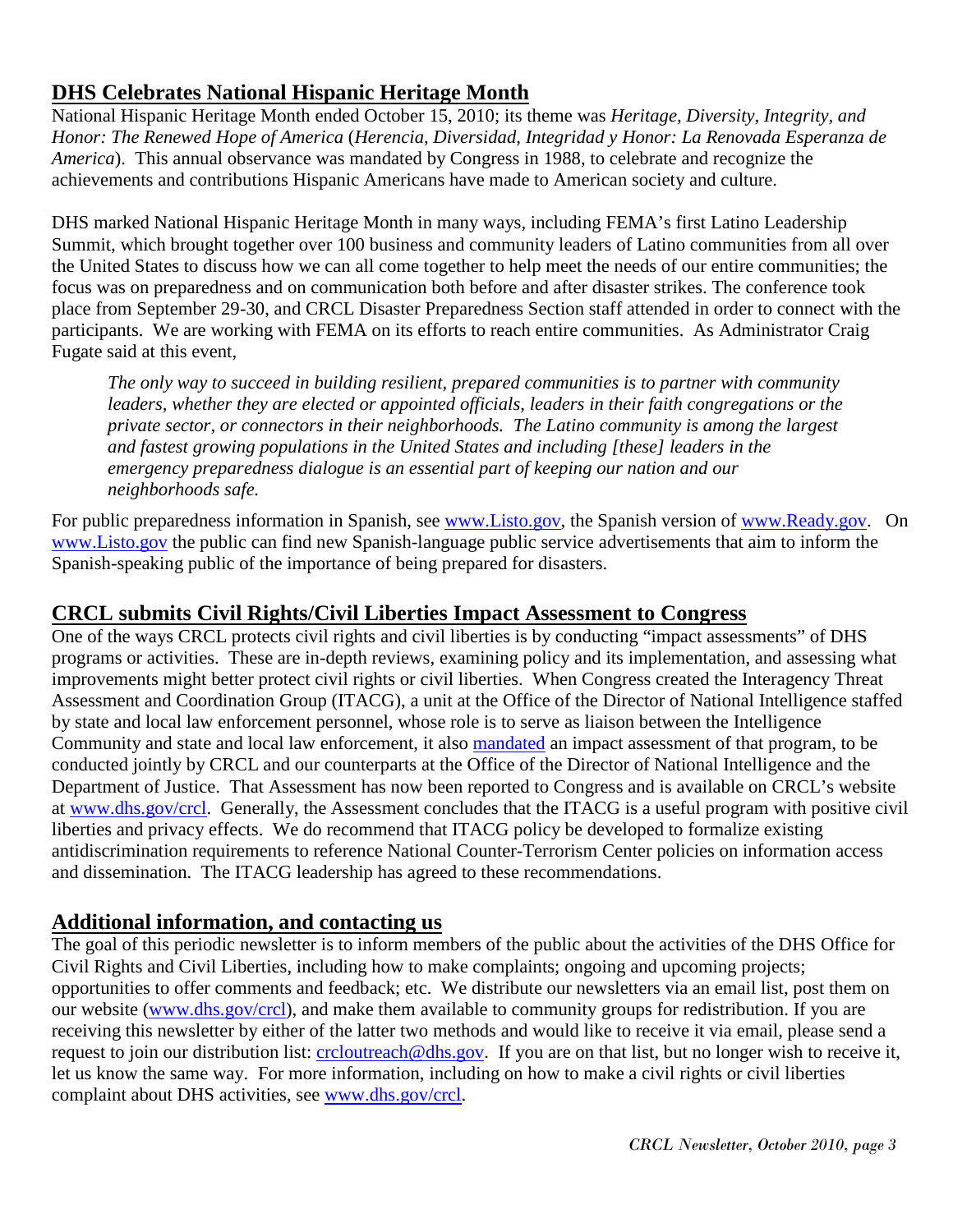# <span id="page-2-0"></span>**DHS Celebrates National Hispanic Heritage Month**

National Hispanic Heritage Month ended October 15, 2010; its theme was *Heritage, Diversity, Integrity, and Honor: The Renewed Hope of America* (*Herencia, Diversidad, Integridad y Honor: La Renovada Esperanza de America*). This annual observance was mandated by Congress in 1988, to celebrate and recognize the achievements and contributions Hispanic Americans have made to American society and culture.

DHS marked National Hispanic Heritage Month in many ways, including FEMA's first Latino Leadership Summit, which brought together over 100 business and community leaders of Latino communities from all over the United States to discuss how we can all come together to help meet the needs of our entire communities; the focus was on preparedness and on communication both before and after disaster strikes. The conference took place from September 29-30, and CRCL Disaster Preparedness Section staff attended in order to connect with the participants. We are working with FEMA on its efforts to reach entire communities. As Administrator Craig Fugate said at this event,

*The only way to succeed in building resilient, prepared communities is to partner with community leaders, whether they are elected or appointed officials, leaders in their faith congregations or the private sector, or connectors in their neighborhoods. The Latino community is among the largest and fastest growing populations in the United States and including [these] leaders in the emergency preparedness dialogue is an essential part of keeping our nation and our neighborhoods safe.* 

For public preparedness information in Spanish, see [www.Listo.gov,](http://www.listo.gov/) the Spanish version of [www.Ready.gov.](http://www.ready.gov/) On [www.Listo.gov](http://www.listo.gov/) the public can find new Spanish-language public service advertisements that aim to inform the Spanish-speaking public of the importance of being prepared for disasters.

## <span id="page-2-1"></span>**CRCL submits Civil Rights/Civil Liberties Impact Assessment to Congress**

One of the ways CRCL protects civil rights and civil liberties is by conducting "impact assessments" of DHS programs or activities. These are in-depth reviews, examining policy and its implementation, and assessing what improvements might better protect civil rights or civil liberties. When Congress created the Interagency Threat Assessment and Coordination Group (ITACG), a unit at the Office of the Director of National Intelligence staffed by state and local law enforcement personnel, whose role is to serve as liaison between the Intelligence Community and state and local law enforcement, it also [mandated](http://frwebgate.access.gpo.gov/cgi-bin/getdoc.cgi?dbname=110_cong_public_laws&docid=f:publ053.110.pdf) an impact assessment of that program, to be conducted jointly by CRCL and our counterparts at the Office of the Director of National Intelligence and the Department of Justice. That Assessment has now been reported to Congress and is available on CRCL's website at [www.dhs.gov/crcl.](http://www.dhs.gov/crcl) Generally, the Assessment concludes that the ITACG is a useful program with positive civil liberties and privacy effects. We do recommend that ITACG policy be developed to formalize existing antidiscrimination requirements to reference National Counter-Terrorism Center policies on information access and dissemination. The ITACG leadership has agreed to these recommendations.

#### <span id="page-2-2"></span>**Additional information, and contacting us**

The goal of this periodic newsletter is to inform members of the public about the activities of the DHS Office for Civil Rights and Civil Liberties, including how to make complaints; ongoing and upcoming projects; opportunities to offer comments and feedback; etc. We distribute our newsletters via an email list, post them on our website [\(www.dhs.gov/crcl\)](http://www.dhs.gov/crcl), and make them available to community groups for redistribution. If you are receiving this newsletter by either of the latter two methods and would like to receive it via email, please send a request to join our distribution list: [crcloutreach@dhs.gov.](mailto:crcloutreach@dhs.gov) If you are on that list, but no longer wish to receive it, let us know the same way. For more information, including on how to make a civil rights or civil liberties complaint about DHS activities, see [www.dhs.gov/crcl.](http://www.dhs.gov/crcl)